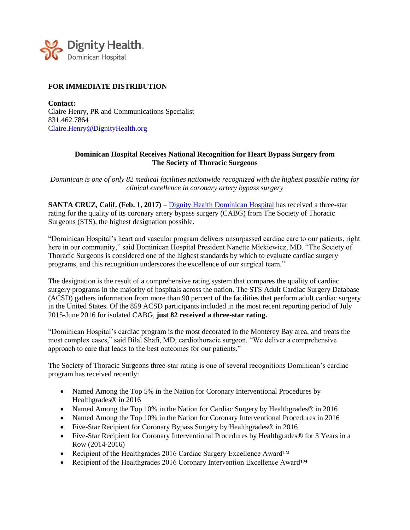

## **FOR IMMEDIATE DISTRIBUTION**

**Contact:** Claire Henry, PR and Communications Specialist 831.462.7864 [Claire.Henry@DignityHealth.org](mailto:Claire.Henry@DignityHealth.org)

## **Dominican Hospital Receives National Recognition for Heart Bypass Surgery from The Society of Thoracic Surgeons**

*Dominican is one of only 82 medical facilities nationwide recognized with the highest possible rating for clinical excellence in coronary artery bypass surgery*

**SANTA CRUZ, Calif. (Feb. 1, 2017)** – [Dignity Health Dominican Hospital](https://www.dignityhealth.org/dominican/) has received a three-star rating for the quality of its coronary artery bypass surgery (CABG) from The Society of Thoracic Surgeons (STS), the highest designation possible.

"Dominican Hospital's heart and vascular program delivers unsurpassed cardiac care to our patients, right here in our community," said Dominican Hospital President Nanette Mickiewicz, MD. "The Society of Thoracic Surgeons is considered one of the highest standards by which to evaluate cardiac surgery programs, and this recognition underscores the excellence of our surgical team."

The designation is the result of a comprehensive rating system that compares the quality of cardiac surgery programs in the majority of hospitals across the nation. The STS Adult Cardiac Surgery Database (ACSD) gathers information from more than 90 percent of the facilities that perform adult cardiac surgery in the United States. Of the 859 ACSD participants included in the most recent reporting period of July 2015-June 2016 for isolated CABG, **just 82 received a three-star rating.**

"Dominican Hospital's cardiac program is the most decorated in the Monterey Bay area, and treats the most complex cases," said Bilal Shafi, MD, cardiothoracic surgeon. "We deliver a comprehensive approach to care that leads to the best outcomes for our patients."

The Society of Thoracic Surgeons three-star rating is one of several recognitions Dominican's cardiac program has received recently:

- Named Among the Top 5% in the Nation for Coronary Interventional Procedures by Healthgrades® in 2016
- Named Among the Top 10% in the Nation for Cardiac Surgery by Healthgrades<sup>®</sup> in 2016
- Named Among the Top 10% in the Nation for Coronary Interventional Procedures in 2016
- Five-Star Recipient for Coronary Bypass Surgery by Healthgrades® in 2016
- Five-Star Recipient for Coronary Interventional Procedures by Healthgrades® for 3 Years in a Row (2014-2016)
- Recipient of the Healthgrades 2016 Cardiac Surgery Excellence Award™
- Recipient of the Healthgrades 2016 Coronary Intervention Excellence Award™